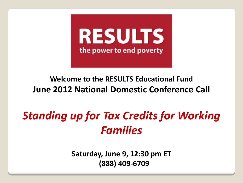

#### **Welcome to the RESULTS Educational Fund June 2012 National Domestic Conference Call**

# *Standing up for Tax Credits for Working Families*

**Saturday, June 9, 12:30 pm ET (888) 409-6709**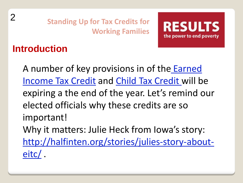

## **Introduction**

2

A number of key provisions in of the [Earned](http://www.results.org/issues/us_poverty_campaigns/economic_opportunity_for_all/earned_income_tax_credit/)  [Income Tax Credit](http://www.results.org/issues/us_poverty_campaigns/economic_opportunity_for_all/earned_income_tax_credit/) and [Child Tax Credit w](http://www.results.org/issues/us_poverty_campaigns/economic_opportunity_for_all/child_tax_credit/)ill be expiring a the end of the year. Let's remind our elected officials why these credits are so important! Why it matters: Julie Heck from Iowa's story: [http://halfinten.org/stories/julies-story-about](http://halfinten.org/stories/julies-story-about-eitc/)[eitc/](http://halfinten.org/stories/julies-story-about-eitc/) .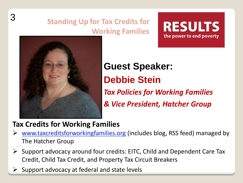



3

**Guest Speaker: Debbie Stein**  *Tax Policies for Working Families & Vice President, Hatcher Group*

#### **Tax Credits for Working Families**

- [www.taxcreditsforworkingfamilies.org](http://www.taxcreditsforworkingfamilies.org/) (includes blog, RSS feed) managed by The Hatcher Group
- $\triangleright$  Support advocacy around four credits: EITC, Child and Dependent Care Tax Credit, Child Tax Credit, and Property Tax Circuit Breakers
- Support advocacy at federal and state levels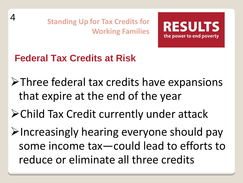

**Federal Tax Credits at Risk**

4

Three federal tax credits have expansions that expire at the end of the year

Child Tax Credit currently under attack

 $\triangleright$  Increasingly hearing everyone should pay some income tax—could lead to efforts to reduce or eliminate all three credits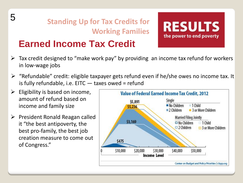

## **Earned Income Tax Credit**

- $\triangleright$  Tax credit designed to "make work pay" by providing an income tax refund for workers in low-wage jobs
- $\triangleright$  "Refundable" credit: eligible taxpayer gets refund even if he/she owes no income tax. It is fully refundable, i.e.  $EITC -$  taxes owed = refund
- $\triangleright$  Eligibility is based on income, amount of refund based on income and family size
- $\triangleright$  President Ronald Reagan called it "the best antipoverty, the best pro-family, the best job creation measure to come out of Congress."



**RESULTS** 

the power to end poverty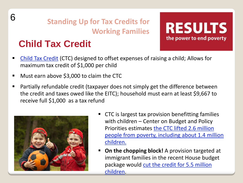

# **Child Tax Credit**



- [Child Tax Credit](http://www.results.org/issues/us_poverty_campaigns/economic_opportunity_for_all/child_tax_credit/) (CTC) designed to offset expenses of raising a child; Allows for maximum tax credit of \$1,000 per child
- Must earn above \$3,000 to claim the CTC
- Partially refundable credit (taxpayer does not simply get the difference between the credit and taxes owed like the EITC); household must earn at least \$9,667 to receive full \$1,000 as a tax refund



- **CTC** is largest tax provision benefitting families with children – Center on Budget and Policy Priorities estimates [the CTC lifted 2.6 million](http://www.cbpp.org/cms/index.cfm?fa=view&id=2989)  [people from poverty, including about 1.4 million](http://www.cbpp.org/cms/index.cfm?fa=view&id=2989)  [children.](http://www.cbpp.org/cms/index.cfm?fa=view&id=2989)
- **P** On the chopping block! A provision targeted at immigrant families in the recent House budget package would cut the credit for 5.5 million [children.](http://taxcoalition.wordpress.com/2012/04/20/low-income-kids-tax-credit-threatened-again/)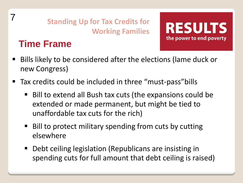# **Time Frame**

7



- Bills likely to be considered after the elections (lame duck or new Congress)
- Tax credits could be included in three "must-pass"bills
	- Bill to extend all Bush tax cuts (the expansions could be extended or made permanent, but might be tied to unaffordable tax cuts for the rich)
	- Bill to protect military spending from cuts by cutting elsewhere
	- Debt ceiling legislation (Republicans are insisting in spending cuts for full amount that debt ceiling is raised)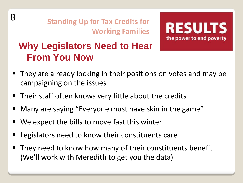8

**Standing Up for Tax Credits for Working Families**



## **Why Legislators Need to Hear From You Now**

- They are already locking in their positions on votes and may be campaigning on the issues
- Their staff often knows very little about the credits
- Many are saying "Everyone must have skin in the game"
- We expect the bills to move fast this winter
- Legislators need to know their constituents care
- They need to know how many of their constituents benefit (We'll work with Meredith to get you the data)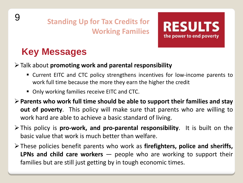

## **Key Messages**

#### Talk about **promoting work and parental responsibility**

- Current EITC and CTC policy strengthens incentives for low-income parents to work full time because the more they earn the higher the credit
- **Diangle 15 Tamillies Feceive EITC and CTC. Diangle 20 Table 20 Table 20 Table 20 Table 20 Table 20 Table 20 Table 20 Table 20 Table 20 Table 20 Table 20 Table 20 Table 20 Table 20 Table 20 Table 20 Table 20 Table 20 Tab**
- **Parents who work full time should be able to support their families and stay out of poverty**. This policy will make sure that parents who are willing to work hard are able to achieve a basic standard of living.
- This policy is **pro-work, and pro-parental responsibility**. It is built on the basic value that work is much better than welfare.
- These policies benefit parents who work as **firefighters, police and sheriffs, LPNs and child care workers** — people who are working to support their families but are still just getting by in tough economic times.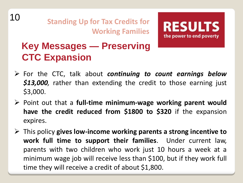



## **Key Messages — Preserving CTC Expansion**

- For the CTC, talk about *continuing to count earnings below \$13,000,* rather than extending the credit to those earning just \$3,000.
- Point out that a **full-time minimum-wage working parent would have the credit reduced from \$1800 to \$320** if the expansion expires.
- This policy **gives low-income working parents a strong incentive to work full time to support their families**. Under current law, parents with two children who work just 10 hours a week at a minimum wage job will receive less than \$100, but if they work full time they will receive a credit of about \$1,800.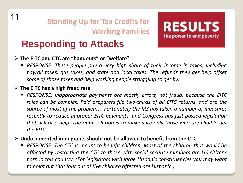#### **Responding to Attacks**

#### **The EITC and CTC are "handouts" or "welfare"**

 *RESPONSE: These people pay a very high share of their income in taxes, including payroll taxes, gas taxes, and state and local taxes. The refunds they get help offset some of those taxes and help working people struggling to get by.*

**RESULTS** 

the power to end poverty

#### **The EITC has a high fraud rate**

 *RESPONSE: Inappropriate payments are mostly errors, not fraud, because the EITC rules can be complex. Paid preparers file two-thirds of all EITC returns, and are the source of most of the problems. Fortunately the IRS has taken a number of measures recently to reduce improper EITC payments, and Congress has just passed legislation that will also help. The right solution is to make sure only those who are eligible get the EITC.*

#### **Undocumented immigrantsshould not be allowed to benefit from the CTC**

 *RESPONSE: The CTC is meant to benefit children. Most of the children that would be affected by restricting the CTC to those with social security numbers are US citizens born in this country. (For legislators with large Hispanic constituencies you may want to point out that four out of five children affected are Hispanic.)*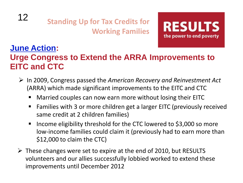

#### **[June Action](http://www.results.org/take_action/us_poverty_actions_and_news/june_2012_u.s._poverty_action/):**

#### **Urge Congress to Extend the ARRA Improvements to EITC and CTC**

- In 2009, Congress passed the *American Recovery and Reinvestment Act*  (ARRA) which made significant improvements to the EITC and CTC
	- Married couples can now earn more without losing their EITC
	- Families with 3 or more children get a larger EITC (previously received same credit at 2 children families)
	- Income eligibility threshold for the CTC lowered to  $$3,000$  so more low-income families could claim it (previously had to earn more than \$12,000 to claim the CTC)
- $\triangleright$  These changes were set to expire at the end of 2010, but RESULTS volunteers and our allies successfully lobbied worked to extend these improvements until December 2012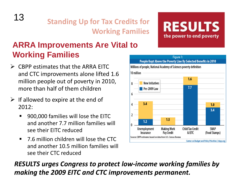#### **ARRA Improvements Are Vital to Working Families**

- $\triangleright$  CBPP estimates that the ARRA FITC and CTC improvements alone lifted 1.6 million people out of poverty in 2010, more than half of them children
- $\triangleright$  If allowed to expire at the end of 2012:
	- 900,000 families will lose the EITC and another 7.7 million families will see their EITC reduced
	- 7.6 million children will lose the CTC and another 10.5 million families will see their CTC reduced

#### *RESULTS urges Congress to protect low-income working families by making the 2009 EITC and CTC improvements permanent.*



#### **RESULTS** the power to end poverty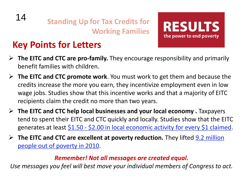## **Key Points for Letters**

14

 **The EITC and CTC are pro-family.** They encourage responsibility and primarily benefit families with children.

**RESULTS** 

the power to end poverty

- **The EITC and CTC promote work**. You must work to get them and because the credits increase the more you earn, they incentivize employment even in low wage jobs. Studies show that this incentive works and that a majority of EITC recipients claim the credit no more than two years.
- **The EITC and CTC help local businesses and your local economy .** Taxpayers tend to spent their EITC and CTC quickly and locally. Studies show that the EITC generates at least  $$1.50 - $2.00$  $$1.50 - $2.00$  in local economic activity for every \$1 claimed.
- **► The EITC and CTC are excellent at poverty reduction.** They lifted **9.2 million** [people out of poverty in 2010.](http://www.cbpp.org/cms/?fa=view&id=3610)

#### *Remember! Not all messages are created equal.*

*Use messages you feel will best move your individual members of Congress to act.*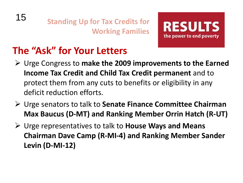



# **The "Ask" for Your Letters**

- Urge Congress to **make the 2009 improvements to the Earned Income Tax Credit and Child Tax Credit permanent** and to protect them from any cuts to benefits or eligibility in any deficit reduction efforts.
- Urge senators to talk to **Senate Finance Committee Chairman Max Baucus (D-MT) and Ranking Member Orrin Hatch (R-UT)**
- Urge representatives to talk to **House Ways and Means Chairman Dave Camp (R-MI-4) and Ranking Member Sander Levin (D-MI-12)**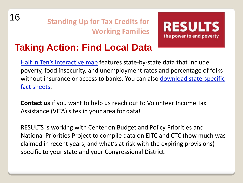



## **Taking Action: Find Local Data**

[Half in Ten's interactive map](http://www.halfinten.org/indicators) features state-by-state data that include poverty, food insecurity, and unemployment rates and percentage of folks without insurance or access to banks. You can also download state-specific [fact sheets.](http://halfinten.org/indicators/resources)

**Contact us** if you want to help us reach out to Volunteer Income Tax Assistance (VITA) sites in your area for data!

RESULTS is working with Center on Budget and Policy Priorities and National Priorities Project to compile data on EITC and CTC (how much was claimed in recent years, and what's at risk with the expiring provisions) specific to your state and your Congressional District.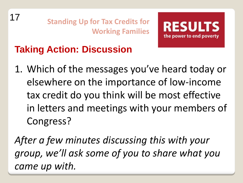

# **Taking Action: Discussion**

1. Which of the messages you've heard today or elsewhere on the importance of low-income tax credit do you think will be most effective in letters and meetings with your members of Congress?

*After a few minutes discussing this with your group, we'll ask some of you to share what you came up with.*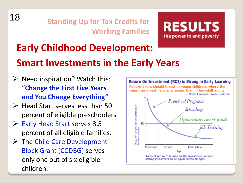



# **Early Childhood Development: Smart Investments in the Early Years**

- $\triangleright$  Need inspiration? Watch this: **"[Change the First Five Years](http://www.youtube.com/watch?v=GbSp88PBe9E&feature=player_detailpage)  [and You Change Everything](http://www.youtube.com/watch?v=GbSp88PBe9E&feature=player_detailpage)"**
- $\triangleright$  Head Start serves less than 50 percent of eligible preschoolers
- ▶ [Early Head Start](http://www.results.org/issues/us_poverty_campaigns/early_childhood_development/early_head_start/) serves 3.5 percent of all eligible families.
- > The Child Care Development [Block Grant \(CCDBG\)](http://www.results.org/issues/us_poverty_campaigns/early_childhood_development/child_care/) serves only one out of six eligible children.

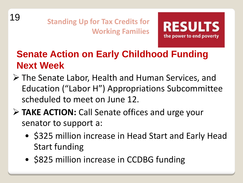



## **Senate Action on Early Childhood Funding Next Week**

- The Senate Labor, Health and Human Services, and Education ("Labor H") Appropriations Subcommittee scheduled to meet on June 12.
- **TAKE ACTION:** Call Senate offices and urge your senator to support a:
	- \$325 million increase in Head Start and Early Head Start funding
	- \$825 million increase in CCDBG funding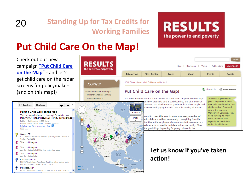## 20

#### **Standing Up for Tax Credits for Working Families**

**RESULTS** 

the power to end poverty

**Global Poverty Campaigns Current Campaigns Summary** 

**Issues** 

#### **RESULTS** the power to end poverty

# **Put Child Care On the Map!**

Check out our new campaign **["Put Child Care](http://www.results.org/issues/put_child_care_on_the_map/)  [on the Map](http://www.results.org/issues/put_child_care_on_the_map/)**["](http://www.results.org/issues/put_child_care_on_the_map/) - and let's get child care on the radar screens for policymakers (and on this map!)



#### Search Video Publications **MV RESULTS** Blog Newsroom **Take Action Skills Center Issues** About Events Donate RESULTS.org > Issues > Put Child Care on the Map! ShareThis Printer Friendly Put Child Care on the Map! You know how important it is for families to have access to good, reliable, high-The federal government ou know that child care is early learning, and also a crucial plays a huge role in child parents. You also know that good care is in short supply, and care policy and funding, but sistance with paving for child care is increasing all around child care isn't front and center for too many Members of Congress, They need our help to know ound to cover this year to make sure every member of more, and know how but child care in their community: everything from the urgently we need their tunities to the employers who count on staff to come every action for child care. ssistance to tax credits to dollars to improve quality. They the good things happening for young children in the

#### **Let us know if you've taken action!**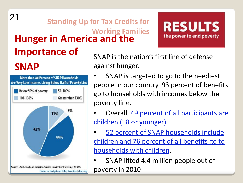## **Hunger in America and the Importance of**  21 **Standing Up for Tax Credits for Working Families**

# **SNAP**



SNAP is the nation's first line of defense against hunger.

• SNAP is targeted to go to the neediest people in our country. 93 percent of benefits go to households with incomes below the poverty line.

**RESULTS** 

the power to end poverty

- Overall, [49 percent of all participants are](http://www.fns.usda.gov/snap/faqs.htm)  [children \(18 or younger\)](http://www.fns.usda.gov/snap/faqs.htm)
- [52 percent of SNAP households include](http://www.fns.usda.gov/snap/faqs.htm)  [children and 76 percent of all benefits go to](http://www.fns.usda.gov/snap/faqs.htm)  [households with children](http://www.fns.usda.gov/snap/faqs.htm).

• SNAP lifted 4.4 million people out of poverty in 2010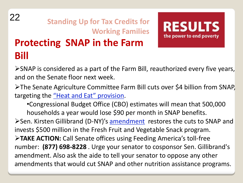# **Protecting SNAP in the Farm Bill** 22 **Standing Up for Tax Credits for Working Families**

**RESULTS** the power to end poverty

SNAP is considered as a part of the Farm Bill, reauthorized every five years, and on the Senate floor next week.

**≻The Senate Agriculture Committee Farm Bill cuts over \$4 billion from SNAP,** targeting the ["Heat and Eat" provision](http://org2.democracyinaction.org/dia/track.jsp?v=2&c=3Vecmkt0%2B9XAkb0OP48iwRp%2BzvH5PSPS).

•Congressional Budget Office (CBO) estimates will mean that 500,000 households a year would lose \$90 per month in SNAP benefits.

≻Sen. Kirsten Gillibrand (D-NY)'s [amendment](http://org2.democracyinaction.org/dia/track.jsp?v=2&c=IQ%2B2tkDgnvjAZYeZThdenRlm5NLkUoNX) restores the cuts to SNAP and invests \$500 million in the Fresh Fruit and Vegetable Snack program.

**TAKE ACTION:** Call Senate offices using Feeding America's toll-free number: **(877) 698-8228** . Urge your senator to cosponsor Sen. Gillibrand's amendment. Also ask the aide to tell your senator to oppose any other amendments that would cut SNAP and other nutrition assistance programs.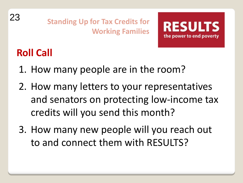



# **Roll Call**

- 1. How many people are in the room?
- 2. How many letters to your representatives and senators on protecting low-income tax credits will you send this month?
- 3. How many new people will you reach out to and connect them with RESULTS?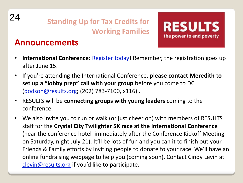

#### **Announcements**



- International Conference: **[Register today!](http://www.results.org/events/IC_2012/)** Remember, the registration goes up after June 15.
- If you're attending the International Conference, **please contact Meredith to set up a "lobby prep" call with your group** before you come to DC ([dodson@results.org;](mailto:dodson@results.org) (202) 783-7100, x116) .
- RESULTS will be **connecting groups with young leaders** coming to the conference.
- We also invite you to run or walk (or just cheer on) with members of RESULTS staff for the **Crystal City Twilighter 5K race at the International Conference**  (near the conference hotel immediately after the Conference Kickoff Meeting on Saturday, night July 21). It'll be lots of fun and you can it to finish out your Friends & Family efforts by inviting people to donate to your race. We'll have an online fundraising webpage to help you (coming soon). Contact Cindy Levin at [clevin@results.org](mailto:clevin@results.org) if you'd like to participate.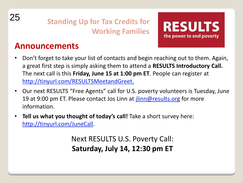



#### **Announcements**

- Don't forget to take your list of contacts and begin reaching out to them. Again, a great first step is simply asking them to attend a **RESULTS Introductory Call.** The next call is this **Friday, June 15 at 1:00 pm ET***.* People can register at [http://tinyurl.com/RESULTSMeetandGreet.](http://tinyurl.com/RESULTSMeetandGreet)
- Our next RESULTS "Free Agents" call for U.S. poverty volunteers is Tuesday, June 19 at 9:00 pm ET. Please contact Jos Linn at [jlinn@results.org](mailto:jlinn@results.org) for more information.
- **Tell us what you thought of today's call!** Take a short survey here: <http://tinyurl.com/JuneCall>.

Next RESULTS U.S. Poverty Call: **Saturday, July 14, 12:30 pm ET**